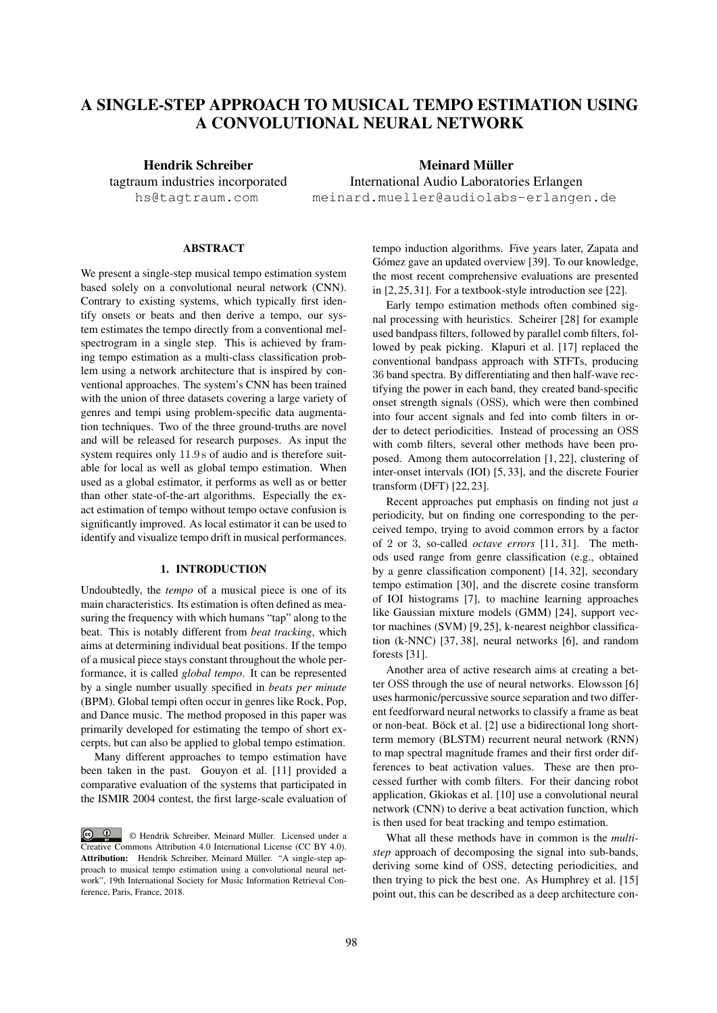# A SINGLE-STEP APPROACH TO MUSICAL TEMPO ESTIMATION USING A CONVOLUTIONAL NEURAL NETWORK

Hendrik Schreiber tagtraum industries incorporated hs@tagtraum.com

Meinard Müller International Audio Laboratories Erlangen meinard.mueller@audiolabs-erlangen.de

# **ABSTRACT**

We present a single-step musical tempo estimation system based solely on a convolutional neural network (CNN). Contrary to existing systems, which typically first identify onsets or beats and then derive a tempo, our system estimates the tempo directly from a conventional melspectrogram in a single step. This is achieved by framing tempo estimation as a multi-class classification problem using a network architecture that is inspired by conventional approaches. The system's CNN has been trained with the union of three datasets covering a large variety of genres and tempi using problem-specific data augmentation techniques. Two of the three ground-truths are novel and will be released for research purposes. As input the system requires only 11.9 s of audio and is therefore suitable for local as well as global tempo estimation. When used as a global estimator, it performs as well as or better than other state-of-the-art algorithms. Especially the exact estimation of tempo without tempo octave confusion is significantly improved. As local estimator it can be used to identify and visualize tempo drift in musical performances.

# 1. INTRODUCTION

Undoubtedly, the *tempo* of a musical piece is one of its main characteristics. Its estimation is often defined as measuring the frequency with which humans "tap" along to the beat. This is notably different from *beat tracking*, which aims at determining individual beat positions. If the tempo of a musical piece stays constant throughout the whole performance, it is called *global tempo*. It can be represented by a single number usually specified in *beats per minute* (BPM). Global tempi often occur in genres like Rock, Pop, and Dance music. The method proposed in this paper was primarily developed for estimating the tempo of short excerpts, but can also be applied to global tempo estimation.

Many different approaches to tempo estimation have been taken in the past. Gouyon et al. [11] provided a comparative evaluation of the systems that participated in the ISMIR 2004 contest, the first large-scale evaluation of tempo induction algorithms. Five years later, Zapata and Gómez gave an updated overview [39]. To our knowledge, the most recent comprehensive evaluations are presented in [2, 25, 31]. For a textbook-style introduction see [22].

Early tempo estimation methods often combined signal processing with heuristics. Scheirer [28] for example used bandpass filters, followed by parallel comb filters, followed by peak picking. Klapuri et al. [17] replaced the conventional bandpass approach with STFTs, producing 36 band spectra. By differentiating and then half-wave rectifying the power in each band, they created band-specific onset strength signals (OSS), which were then combined into four accent signals and fed into comb filters in order to detect periodicities. Instead of processing an OSS with comb filters, several other methods have been proposed. Among them autocorrelation [1, 22], clustering of inter-onset intervals (IOI) [5, 33], and the discrete Fourier transform (DFT) [22, 23].

Recent approaches put emphasis on finding not just *a* periodicity, but on finding one corresponding to the perceived tempo, trying to avoid common errors by a factor of 2 or 3, so-called *octave errors* [11, 31]. The methods used range from genre classification (e.g., obtained by a genre classification component) [14, 32], secondary tempo estimation [30], and the discrete cosine transform of IOI histograms [7], to machine learning approaches like Gaussian mixture models (GMM) [24], support vector machines (SVM) [9, 25], k-nearest neighbor classification (k-NNC) [37, 38], neural networks [6], and random forests [31].

Another area of active research aims at creating a better OSS through the use of neural networks. Elowsson [6] uses harmonic/percussive source separation and two different feedforward neural networks to classify a frame as beat or non-beat. Böck et al. [2] use a bidirectional long shortterm memory (BLSTM) recurrent neural network (RNN) to map spectral magnitude frames and their first order differences to beat activation values. These are then processed further with comb filters. For their dancing robot application, Gkiokas et al. [10] use a convolutional neural network (CNN) to derive a beat activation function, which is then used for beat tracking and tempo estimation.

What all these methods have in common is the *multistep* approach of decomposing the signal into sub-bands, deriving some kind of OSS, detecting periodicities, and then trying to pick the best one. As Humphrey et al. [15] point out, this can be described as a deep architecture con-

 $\bigcirc$   $\bigcirc$ © Hendrik Schreiber, Meinard Muller. Licensed under a ¨ Creative Commons Attribution 4.0 International License (CC BY 4.0). Attribution: Hendrik Schreiber, Meinard Müller. "A single-step approach to musical tempo estimation using a convolutional neural network", 19th International Society for Music Information Retrieval Conference, Paris, France, 2018.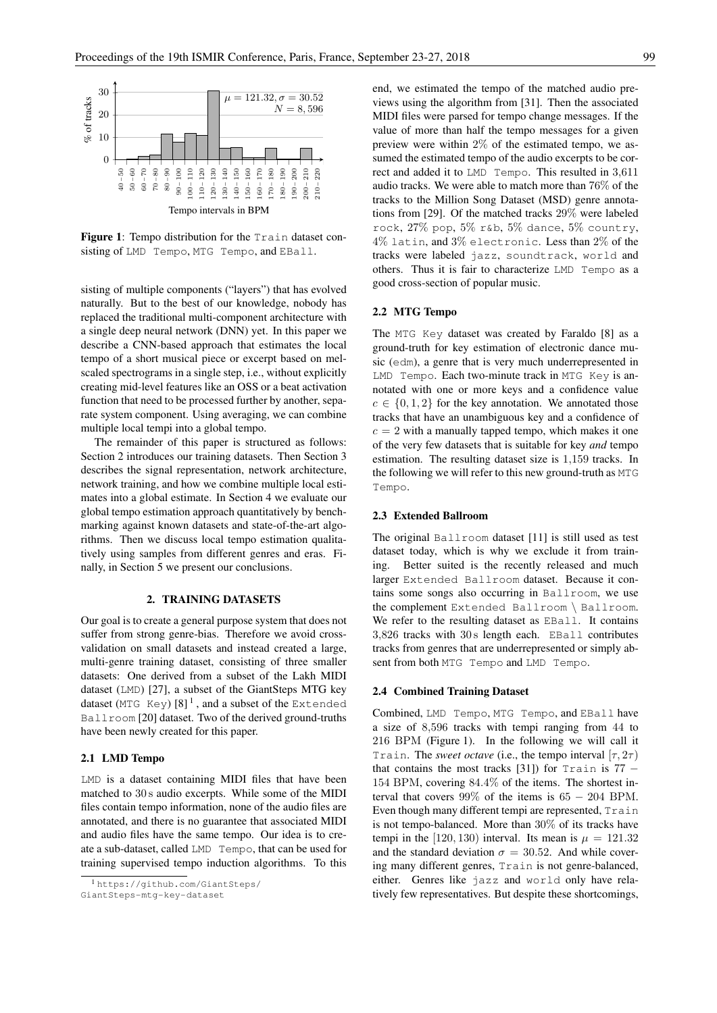

Figure 1: Tempo distribution for the Train dataset consisting of LMD Tempo, MTG Tempo, and EBall.

sisting of multiple components ("layers") that has evolved naturally. But to the best of our knowledge, nobody has replaced the traditional multi-component architecture with a single deep neural network (DNN) yet. In this paper we describe a CNN-based approach that estimates the local tempo of a short musical piece or excerpt based on melscaled spectrograms in a single step, i.e., without explicitly creating mid-level features like an OSS or a beat activation function that need to be processed further by another, separate system component. Using averaging, we can combine multiple local tempi into a global tempo.

The remainder of this paper is structured as follows: Section 2 introduces our training datasets. Then Section 3 describes the signal representation, network architecture, network training, and how we combine multiple local estimates into a global estimate. In Section 4 we evaluate our global tempo estimation approach quantitatively by benchmarking against known datasets and state-of-the-art algorithms. Then we discuss local tempo estimation qualitatively using samples from different genres and eras. Finally, in Section 5 we present our conclusions.

# 2. TRAINING DATASETS

Our goal is to create a general purpose system that does not suffer from strong genre-bias. Therefore we avoid crossvalidation on small datasets and instead created a large, multi-genre training dataset, consisting of three smaller datasets: One derived from a subset of the Lakh MIDI dataset (LMD) [27], a subset of the GiantSteps MTG key dataset (MTG Key)  $[8]^1$  , and a subset of the Extended Ballroom [20] dataset. Two of the derived ground-truths have been newly created for this paper.

#### 2.1 LMD Tempo

LMD is a dataset containing MIDI files that have been matched to 30 s audio excerpts. While some of the MIDI files contain tempo information, none of the audio files are annotated, and there is no guarantee that associated MIDI and audio files have the same tempo. Our idea is to create a sub-dataset, called LMD Tempo, that can be used for training supervised tempo induction algorithms. To this

end, we estimated the tempo of the matched audio previews using the algorithm from [31]. Then the associated MIDI files were parsed for tempo change messages. If the value of more than half the tempo messages for a given preview were within 2% of the estimated tempo, we assumed the estimated tempo of the audio excerpts to be correct and added it to LMD Tempo. This resulted in 3,611 audio tracks. We were able to match more than 76% of the tracks to the Million Song Dataset (MSD) genre annotations from [29]. Of the matched tracks 29% were labeled rock, 27% pop, 5% r&b, 5% dance, 5% country, 4% latin, and 3% electronic. Less than 2% of the tracks were labeled jazz, soundtrack, world and others. Thus it is fair to characterize LMD Tempo as a good cross-section of popular music.

# 2.2 MTG Tempo

The MTG Key dataset was created by Faraldo [8] as a ground-truth for key estimation of electronic dance music (edm), a genre that is very much underrepresented in LMD Tempo. Each two-minute track in MTG Key is annotated with one or more keys and a confidence value  $c \in \{0, 1, 2\}$  for the key annotation. We annotated those tracks that have an unambiguous key and a confidence of  $c = 2$  with a manually tapped tempo, which makes it one of the very few datasets that is suitable for key *and* tempo estimation. The resulting dataset size is 1,159 tracks. In the following we will refer to this new ground-truth as MTG Tempo.

#### 2.3 Extended Ballroom

The original Ballroom dataset [11] is still used as test dataset today, which is why we exclude it from training. Better suited is the recently released and much larger Extended Ballroom dataset. Because it contains some songs also occurring in Ballroom, we use the complement Extended Ballroom \ Ballroom. We refer to the resulting dataset as EBall. It contains 3,826 tracks with 30 s length each. EBall contributes tracks from genres that are underrepresented or simply absent from both MTG Tempo and LMD Tempo.

# 2.4 Combined Training Dataset

Combined, LMD Tempo, MTG Tempo, and EBall have a size of 8,596 tracks with tempi ranging from 44 to 216 BPM (Figure 1). In the following we will call it Train. The *sweet octave* (i.e., the tempo interval  $[\tau, 2\tau]$ ) that contains the most tracks [31]) for Train is  $77 -$ 154 BPM, covering 84.4% of the items. The shortest interval that covers 99% of the items is 65 − 204 BPM. Even though many different tempi are represented, Train is not tempo-balanced. More than  $30\%$  of its tracks have tempi in the [120, 130) interval. Its mean is  $\mu = 121.32$ and the standard deviation  $\sigma = 30.52$ . And while covering many different genres, Train is not genre-balanced, either. Genres like jazz and world only have relatively few representatives. But despite these shortcomings,

<sup>1</sup> https://github.com/GiantSteps/

GiantSteps-mtg-key-dataset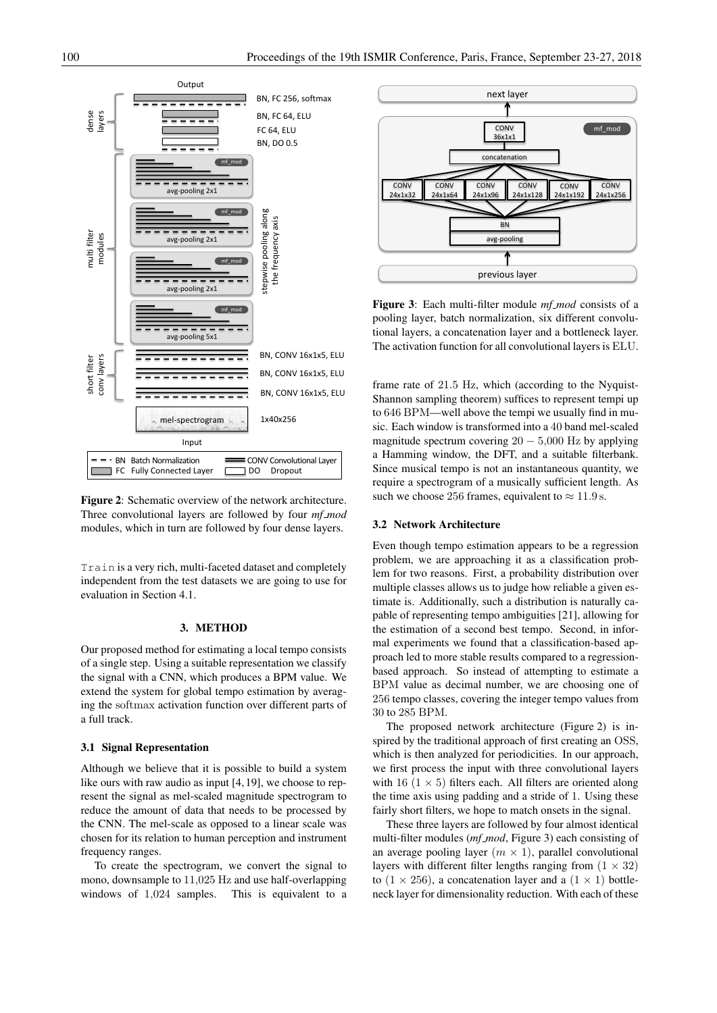

Figure 2: Schematic overview of the network architecture. Three convolutional layers are followed by four *mf mod* modules, which in turn are followed by four dense layers.

Train is a very rich, multi-faceted dataset and completely independent from the test datasets we are going to use for evaluation in Section 4.1.

# 3. METHOD

Our proposed method for estimating a local tempo consists of a single step. Using a suitable representation we classify the signal with a CNN, which produces a BPM value. We extend the system for global tempo estimation by averaging the softmax activation function over different parts of a full track.

# 3.1 Signal Representation

Although we believe that it is possible to build a system like ours with raw audio as input [4, 19], we choose to represent the signal as mel-scaled magnitude spectrogram to reduce the amount of data that needs to be processed by the CNN. The mel-scale as opposed to a linear scale was chosen for its relation to human perception and instrument frequency ranges.

To create the spectrogram, we convert the signal to mono, downsample to 11,025 Hz and use half-overlapping windows of 1,024 samples. This is equivalent to a



Figure 3: Each multi-filter module *mf mod* consists of a pooling layer, batch normalization, six different convolutional layers, a concatenation layer and a bottleneck layer. The activation function for all convolutional layers is ELU.

frame rate of 21.5 Hz, which (according to the Nyquist-Shannon sampling theorem) suffices to represent tempi up to 646 BPM—well above the tempi we usually find in music. Each window is transformed into a 40 band mel-scaled magnitude spectrum covering  $20 - 5{,}000$  Hz by applying a Hamming window, the DFT, and a suitable filterbank. Since musical tempo is not an instantaneous quantity, we require a spectrogram of a musically sufficient length. As such we choose 256 frames, equivalent to  $\approx 11.9$  s.

# 3.2 Network Architecture

Even though tempo estimation appears to be a regression problem, we are approaching it as a classification problem for two reasons. First, a probability distribution over multiple classes allows us to judge how reliable a given estimate is. Additionally, such a distribution is naturally capable of representing tempo ambiguities [21], allowing for the estimation of a second best tempo. Second, in informal experiments we found that a classification-based approach led to more stable results compared to a regressionbased approach. So instead of attempting to estimate a BPM value as decimal number, we are choosing one of 256 tempo classes, covering the integer tempo values from 30 to 285 BPM.

The proposed network architecture (Figure 2) is inspired by the traditional approach of first creating an OSS, which is then analyzed for periodicities. In our approach, we first process the input with three convolutional layers with 16 ( $1 \times 5$ ) filters each. All filters are oriented along the time axis using padding and a stride of 1. Using these fairly short filters, we hope to match onsets in the signal.

These three layers are followed by four almost identical multi-filter modules (*mf mod*, Figure 3) each consisting of an average pooling layer  $(m \times 1)$ , parallel convolutional layers with different filter lengths ranging from  $(1 \times 32)$ to  $(1 \times 256)$ , a concatenation layer and a  $(1 \times 1)$  bottleneck layer for dimensionality reduction. With each of these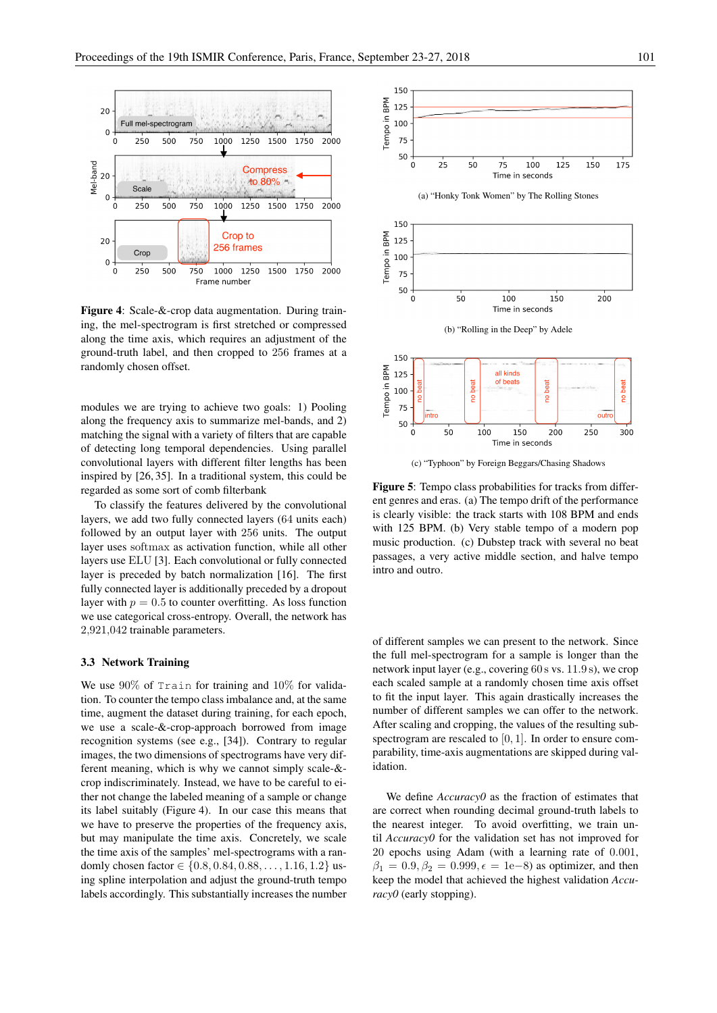

Figure 4: Scale-&-crop data augmentation. During training, the mel-spectrogram is first stretched or compressed along the time axis, which requires an adjustment of the ground-truth label, and then cropped to 256 frames at a randomly chosen offset.

modules we are trying to achieve two goals: 1) Pooling along the frequency axis to summarize mel-bands, and 2) matching the signal with a variety of filters that are capable of detecting long temporal dependencies. Using parallel convolutional layers with different filter lengths has been inspired by [26, 35]. In a traditional system, this could be regarded as some sort of comb filterbank

To classify the features delivered by the convolutional layers, we add two fully connected layers (64 units each) followed by an output layer with 256 units. The output layer uses softmax as activation function, while all other layers use ELU [3]. Each convolutional or fully connected layer is preceded by batch normalization [16]. The first fully connected layer is additionally preceded by a dropout layer with  $p = 0.5$  to counter overfitting. As loss function we use categorical cross-entropy. Overall, the network has 2,921,042 trainable parameters.

### 3.3 Network Training

We use  $90\%$  of Train for training and  $10\%$  for validation. To counter the tempo class imbalance and, at the same time, augment the dataset during training, for each epoch, we use a scale-&-crop-approach borrowed from image recognition systems (see e.g., [34]). Contrary to regular images, the two dimensions of spectrograms have very different meaning, which is why we cannot simply scale-& crop indiscriminately. Instead, we have to be careful to either not change the labeled meaning of a sample or change its label suitably (Figure 4). In our case this means that we have to preserve the properties of the frequency axis, but may manipulate the time axis. Concretely, we scale the time axis of the samples' mel-spectrograms with a randomly chosen factor ∈ {0.8, 0.84, 0.88, . . . , 1.16, 1.2} using spline interpolation and adjust the ground-truth tempo labels accordingly. This substantially increases the number



(c) "Typhoon" by Foreign Beggars/Chasing Shadows

Time in seconds

Figure 5: Tempo class probabilities for tracks from different genres and eras. (a) The tempo drift of the performance is clearly visible: the track starts with 108 BPM and ends with 125 BPM. (b) Very stable tempo of a modern pop music production. (c) Dubstep track with several no beat passages, a very active middle section, and halve tempo intro and outro.

of different samples we can present to the network. Since the full mel-spectrogram for a sample is longer than the network input layer (e.g., covering 60 s vs. 11.9 s), we crop each scaled sample at a randomly chosen time axis offset to fit the input layer. This again drastically increases the number of different samples we can offer to the network. After scaling and cropping, the values of the resulting subspectrogram are rescaled to  $[0, 1]$ . In order to ensure comparability, time-axis augmentations are skipped during validation.

We define *Accuracy0* as the fraction of estimates that are correct when rounding decimal ground-truth labels to the nearest integer. To avoid overfitting, we train until *Accuracy0* for the validation set has not improved for 20 epochs using Adam (with a learning rate of 0.001,  $\beta_1 = 0.9, \beta_2 = 0.999, \epsilon = 1e-8$  as optimizer, and then keep the model that achieved the highest validation *Accuracy0* (early stopping).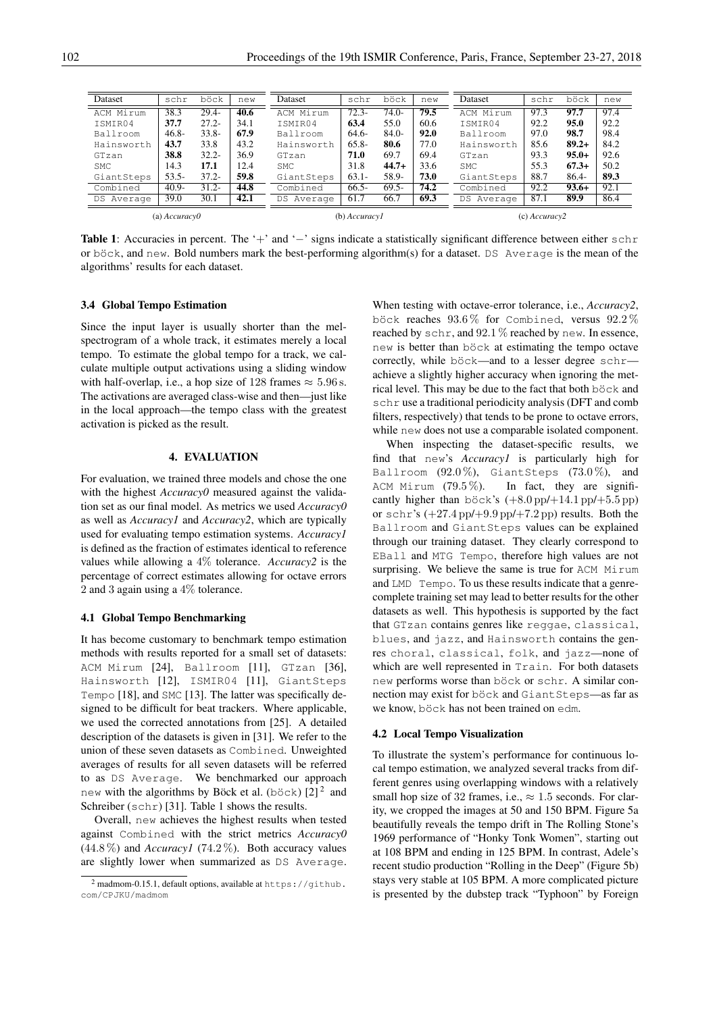| Dataset       | schr     | böck     | new  | Dataset       | schr     | böck     | new  | Dataset       | schr | böck     | new  |
|---------------|----------|----------|------|---------------|----------|----------|------|---------------|------|----------|------|
| ACM Mirum     | 38.3     | $29.4 -$ | 40.6 | ACM Mirum     | $72.3 -$ | $74.0-$  | 79.5 | ACM Mirum     | 97.3 | 97.7     | 97.4 |
| TSMTR04       | 37.7     | $27.2 -$ | 34.1 | ISMIR04       | 63.4     | 55.0     | 60.6 | ISMIR04       | 92.2 | 95.0     | 92.2 |
| Ballroom      | $46.8 -$ | $33.8 -$ | 67.9 | Ballroom      | $64.6-$  | $84.0-$  | 92.0 | Ballroom      | 97.0 | 98.7     | 98.4 |
| Hainsworth    | 43.7     | 33.8     | 43.2 | Hainsworth    | $65.8 -$ | 80.6     | 77.0 | Hainsworth    | 85.6 | $89.2+$  | 84.2 |
| GTzan         | 38.8     | $32.2 -$ | 36.9 | GTzan         | 71.0     | 69.7     | 69.4 | GTzan         | 93.3 | $95.0+$  | 92.6 |
| SMC           | 14.3     | 17.1     | 12.4 | SMC.          | 31.8     | $44.7+$  | 33.6 | <b>SMC</b>    | 55.3 | $67.3+$  | 50.2 |
| GiantSteps    | $53.5 -$ | $37.2 -$ | 59.8 | GiantSteps    | $63.1 -$ | 58.9-    | 73.0 | GiantSteps    | 88.7 | $86.4 -$ | 89.3 |
| Combined      | $40.9 -$ | $31.2 -$ | 44.8 | Combined      | $66.5-$  | $69.5 -$ | 74.2 | Combined      | 92.2 | $93.6+$  | 92.1 |
| DS Average    | 39.0     | 30.1     | 42.1 | Average<br>DS | 61.7     | 66.7     | 69.3 | DS Average    | 87.1 | 89.9     | 86.4 |
| (a) Accuracy0 |          |          |      | (b) Accuracy1 |          |          |      | (c) Accuracy2 |      |          |      |

Table 1: Accuracies in percent. The '+' and '−' signs indicate a statistically significant difference between either schr or böck, and new. Bold numbers mark the best-performing algorithm(s) for a dataset. DS Average is the mean of the algorithms' results for each dataset.

#### 3.4 Global Tempo Estimation

Since the input layer is usually shorter than the melspectrogram of a whole track, it estimates merely a local tempo. To estimate the global tempo for a track, we calculate multiple output activations using a sliding window with half-overlap, i.e., a hop size of 128 frames  $\approx 5.96$  s. The activations are averaged class-wise and then—just like in the local approach—the tempo class with the greatest activation is picked as the result.

# 4. EVALUATION

For evaluation, we trained three models and chose the one with the highest *Accuracy0* measured against the validation set as our final model. As metrics we used *Accuracy0* as well as *Accuracy1* and *Accuracy2*, which are typically used for evaluating tempo estimation systems. *Accuracy1* is defined as the fraction of estimates identical to reference values while allowing a 4% tolerance. *Accuracy2* is the percentage of correct estimates allowing for octave errors 2 and 3 again using a 4% tolerance.

### 4.1 Global Tempo Benchmarking

It has become customary to benchmark tempo estimation methods with results reported for a small set of datasets: ACM Mirum [24], Ballroom [11], GTzan [36], Hainsworth [12], ISMIR04 [11], GiantSteps Tempo [18], and SMC [13]. The latter was specifically designed to be difficult for beat trackers. Where applicable, we used the corrected annotations from [25]. A detailed description of the datasets is given in [31]. We refer to the union of these seven datasets as Combined. Unweighted averages of results for all seven datasets will be referred to as DS Average. We benchmarked our approach new with the algorithms by Böck et al. (böck)  $[2]^2$  and Schreiber (schr) [31]. Table 1 shows the results.

Overall, new achieves the highest results when tested against Combined with the strict metrics *Accuracy0*  $(44.8\%)$  and *Accuracy1* (74.2%). Both accuracy values are slightly lower when summarized as DS Average. When testing with octave-error tolerance, i.e., *Accuracy2*, böck reaches  $93.6\%$  for Combined, versus  $92.2\,\%$ reached by schr, and  $92.1\%$  reached by new. In essence, new is better than böck at estimating the tempo octave correctly, while böck—and to a lesser degree  $schr$  achieve a slightly higher accuracy when ignoring the metrical level. This may be due to the fact that both böck and schr use a traditional periodicity analysis (DFT and comb filters, respectively) that tends to be prone to octave errors, while new does not use a comparable isolated component.

When inspecting the dataset-specific results, we find that new's *Accuracy1* is particularly high for Ballroom  $(92.0\%)$ , GiantSteps  $(73.0\%)$ , and ACM Mirum  $(79.5\%)$ . In fact, they are significantly higher than böck's  $(+8.0 \text{ pp}/+14.1 \text{ pp}/+5.5 \text{ pp})$ or schr's  $(+27.4 \text{ pp}/+9.9 \text{ pp}/+7.2 \text{ pp})$  results. Both the Ballroom and GiantSteps values can be explained through our training dataset. They clearly correspond to EBall and MTG Tempo, therefore high values are not surprising. We believe the same is true for ACM Mirum and LMD Tempo. To us these results indicate that a genrecomplete training set may lead to better results for the other datasets as well. This hypothesis is supported by the fact that GTzan contains genres like reggae, classical, blues, and jazz, and Hainsworth contains the genres choral, classical, folk, and jazz—none of which are well represented in Train. For both datasets new performs worse than böck or schr. A similar connection may exist for böck and GiantSteps—as far as we know, böck has not been trained on edm.

#### 4.2 Local Tempo Visualization

To illustrate the system's performance for continuous local tempo estimation, we analyzed several tracks from different genres using overlapping windows with a relatively small hop size of 32 frames, i.e.,  $\approx 1.5$  seconds. For clarity, we cropped the images at 50 and 150 BPM. Figure 5a beautifully reveals the tempo drift in The Rolling Stone's 1969 performance of "Honky Tonk Women", starting out at 108 BPM and ending in 125 BPM. In contrast, Adele's recent studio production "Rolling in the Deep" (Figure 5b) stays very stable at 105 BPM. A more complicated picture is presented by the dubstep track "Typhoon" by Foreign

<sup>&</sup>lt;sup>2</sup> madmom-0.15.1, default options, available at https://github. com/CPJKU/madmom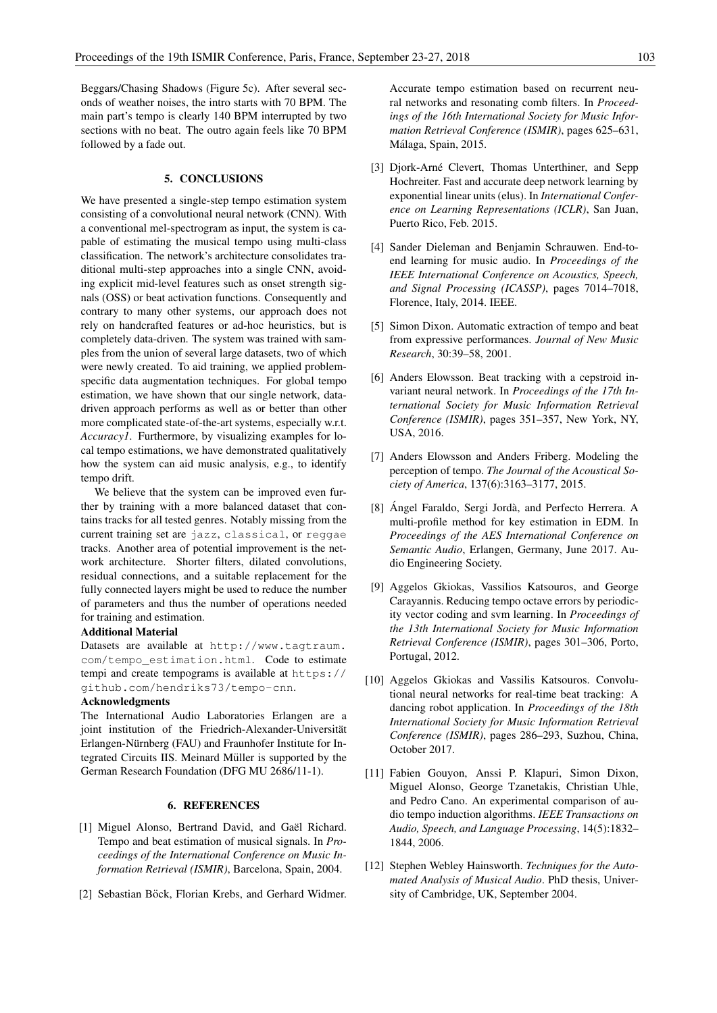Beggars/Chasing Shadows (Figure 5c). After several seconds of weather noises, the intro starts with 70 BPM. The main part's tempo is clearly 140 BPM interrupted by two sections with no beat. The outro again feels like 70 BPM followed by a fade out.

#### 5. CONCLUSIONS

We have presented a single-step tempo estimation system consisting of a convolutional neural network (CNN). With a conventional mel-spectrogram as input, the system is capable of estimating the musical tempo using multi-class classification. The network's architecture consolidates traditional multi-step approaches into a single CNN, avoiding explicit mid-level features such as onset strength signals (OSS) or beat activation functions. Consequently and contrary to many other systems, our approach does not rely on handcrafted features or ad-hoc heuristics, but is completely data-driven. The system was trained with samples from the union of several large datasets, two of which were newly created. To aid training, we applied problemspecific data augmentation techniques. For global tempo estimation, we have shown that our single network, datadriven approach performs as well as or better than other more complicated state-of-the-art systems, especially w.r.t. *Accuracy1*. Furthermore, by visualizing examples for local tempo estimations, we have demonstrated qualitatively how the system can aid music analysis, e.g., to identify tempo drift.

We believe that the system can be improved even further by training with a more balanced dataset that contains tracks for all tested genres. Notably missing from the current training set are jazz, classical, or reggae tracks. Another area of potential improvement is the network architecture. Shorter filters, dilated convolutions, residual connections, and a suitable replacement for the fully connected layers might be used to reduce the number of parameters and thus the number of operations needed for training and estimation.

### Additional Material

Datasets are available at http://www.tagtraum. com/tempo\_estimation.html. Code to estimate tempi and create tempograms is available at https:// github.com/hendriks73/tempo-cnn.

# Acknowledgments

The International Audio Laboratories Erlangen are a joint institution of the Friedrich-Alexander-Universität Erlangen-Nürnberg (FAU) and Fraunhofer Institute for Integrated Circuits IIS. Meinard Müller is supported by the German Research Foundation (DFG MU 2686/11-1).

# 6. REFERENCES

- [1] Miguel Alonso, Bertrand David, and Gaël Richard. Tempo and beat estimation of musical signals. In *Proceedings of the International Conference on Music Information Retrieval (ISMIR)*, Barcelona, Spain, 2004.
- [2] Sebastian Böck, Florian Krebs, and Gerhard Widmer.

Accurate tempo estimation based on recurrent neural networks and resonating comb filters. In *Proceedings of the 16th International Society for Music Information Retrieval Conference (ISMIR)*, pages 625–631, Málaga, Spain, 2015.

- [3] Djork-Arné Clevert, Thomas Unterthiner, and Sepp Hochreiter. Fast and accurate deep network learning by exponential linear units (elus). In *International Conference on Learning Representations (ICLR)*, San Juan, Puerto Rico, Feb. 2015.
- [4] Sander Dieleman and Benjamin Schrauwen. End-toend learning for music audio. In *Proceedings of the IEEE International Conference on Acoustics, Speech, and Signal Processing (ICASSP)*, pages 7014–7018, Florence, Italy, 2014. IEEE.
- [5] Simon Dixon. Automatic extraction of tempo and beat from expressive performances. *Journal of New Music Research*, 30:39–58, 2001.
- [6] Anders Elowsson. Beat tracking with a cepstroid invariant neural network. In *Proceedings of the 17th International Society for Music Information Retrieval Conference (ISMIR)*, pages 351–357, New York, NY, USA, 2016.
- [7] Anders Elowsson and Anders Friberg. Modeling the perception of tempo. *The Journal of the Acoustical Society of America*, 137(6):3163–3177, 2015.
- [8] Ángel Faraldo, Sergi Jordà, and Perfecto Herrera. A multi-profile method for key estimation in EDM. In *Proceedings of the AES International Conference on Semantic Audio*, Erlangen, Germany, June 2017. Audio Engineering Society.
- [9] Aggelos Gkiokas, Vassilios Katsouros, and George Carayannis. Reducing tempo octave errors by periodicity vector coding and svm learning. In *Proceedings of the 13th International Society for Music Information Retrieval Conference (ISMIR)*, pages 301–306, Porto, Portugal, 2012.
- [10] Aggelos Gkiokas and Vassilis Katsouros. Convolutional neural networks for real-time beat tracking: A dancing robot application. In *Proceedings of the 18th International Society for Music Information Retrieval Conference (ISMIR)*, pages 286–293, Suzhou, China, October 2017.
- [11] Fabien Gouyon, Anssi P. Klapuri, Simon Dixon, Miguel Alonso, George Tzanetakis, Christian Uhle, and Pedro Cano. An experimental comparison of audio tempo induction algorithms. *IEEE Transactions on Audio, Speech, and Language Processing*, 14(5):1832– 1844, 2006.
- [12] Stephen Webley Hainsworth. *Techniques for the Automated Analysis of Musical Audio*. PhD thesis, University of Cambridge, UK, September 2004.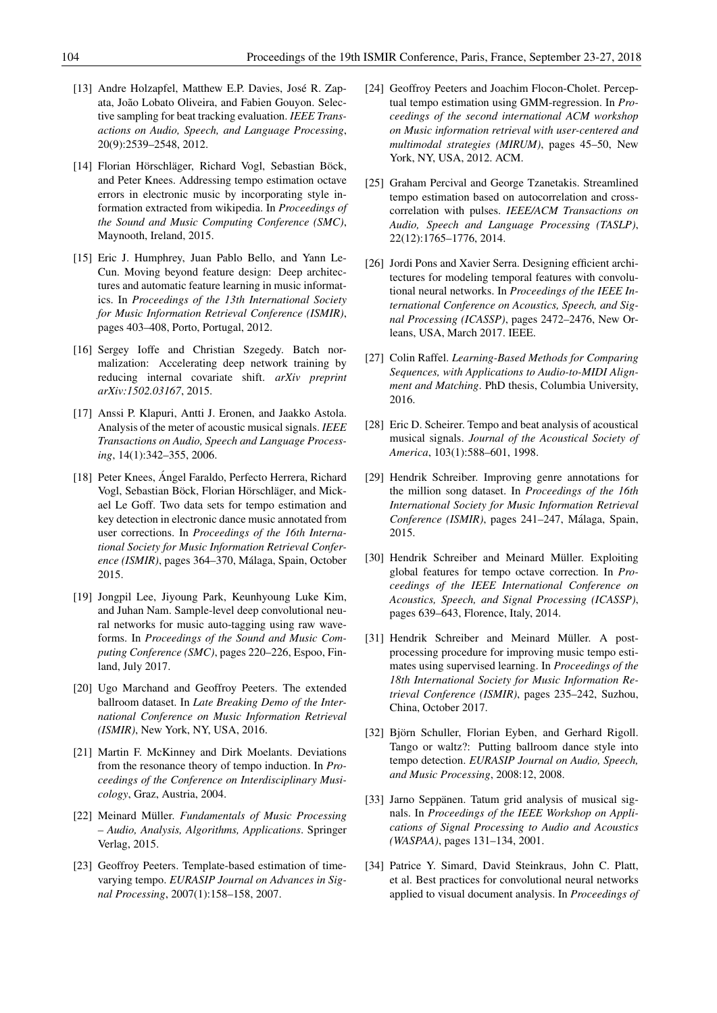- [13] Andre Holzapfel, Matthew E.P. Davies, José R. Zapata, João Lobato Oliveira, and Fabien Gouyon. Selective sampling for beat tracking evaluation. *IEEE Transactions on Audio, Speech, and Language Processing*, 20(9):2539–2548, 2012.
- [14] Florian Hörschläger, Richard Vogl, Sebastian Böck, and Peter Knees. Addressing tempo estimation octave errors in electronic music by incorporating style information extracted from wikipedia. In *Proceedings of the Sound and Music Computing Conference (SMC)*, Maynooth, Ireland, 2015.
- [15] Eric J. Humphrey, Juan Pablo Bello, and Yann Le-Cun. Moving beyond feature design: Deep architectures and automatic feature learning in music informatics. In *Proceedings of the 13th International Society for Music Information Retrieval Conference (ISMIR)*, pages 403–408, Porto, Portugal, 2012.
- [16] Sergey Ioffe and Christian Szegedy. Batch normalization: Accelerating deep network training by reducing internal covariate shift. *arXiv preprint arXiv:1502.03167*, 2015.
- [17] Anssi P. Klapuri, Antti J. Eronen, and Jaakko Astola. Analysis of the meter of acoustic musical signals. *IEEE Transactions on Audio, Speech and Language Processing*, 14(1):342–355, 2006.
- [18] Peter Knees, Ángel Faraldo, Perfecto Herrera, Richard Vogl, Sebastian Böck, Florian Hörschläger, and Mickael Le Goff. Two data sets for tempo estimation and key detection in electronic dance music annotated from user corrections. In *Proceedings of the 16th International Society for Music Information Retrieval Conference (ISMIR)*, pages 364–370, Malaga, Spain, October ´ 2015.
- [19] Jongpil Lee, Jiyoung Park, Keunhyoung Luke Kim, and Juhan Nam. Sample-level deep convolutional neural networks for music auto-tagging using raw waveforms. In *Proceedings of the Sound and Music Computing Conference (SMC)*, pages 220–226, Espoo, Finland, July 2017.
- [20] Ugo Marchand and Geoffroy Peeters. The extended ballroom dataset. In *Late Breaking Demo of the International Conference on Music Information Retrieval (ISMIR)*, New York, NY, USA, 2016.
- [21] Martin F. McKinney and Dirk Moelants. Deviations from the resonance theory of tempo induction. In *Proceedings of the Conference on Interdisciplinary Musicology*, Graz, Austria, 2004.
- [22] Meinard Müller. *Fundamentals of Music Processing – Audio, Analysis, Algorithms, Applications*. Springer Verlag, 2015.
- [23] Geoffroy Peeters. Template-based estimation of timevarying tempo. *EURASIP Journal on Advances in Signal Processing*, 2007(1):158–158, 2007.
- [24] Geoffroy Peeters and Joachim Flocon-Cholet. Perceptual tempo estimation using GMM-regression. In *Proceedings of the second international ACM workshop on Music information retrieval with user-centered and multimodal strategies (MIRUM)*, pages 45–50, New York, NY, USA, 2012. ACM.
- [25] Graham Percival and George Tzanetakis. Streamlined tempo estimation based on autocorrelation and crosscorrelation with pulses. *IEEE/ACM Transactions on Audio, Speech and Language Processing (TASLP)*, 22(12):1765–1776, 2014.
- [26] Jordi Pons and Xavier Serra. Designing efficient architectures for modeling temporal features with convolutional neural networks. In *Proceedings of the IEEE International Conference on Acoustics, Speech, and Signal Processing (ICASSP)*, pages 2472–2476, New Orleans, USA, March 2017. IEEE.
- [27] Colin Raffel. *Learning-Based Methods for Comparing Sequences, with Applications to Audio-to-MIDI Alignment and Matching*. PhD thesis, Columbia University, 2016.
- [28] Eric D. Scheirer. Tempo and beat analysis of acoustical musical signals. *Journal of the Acoustical Society of America*, 103(1):588–601, 1998.
- [29] Hendrik Schreiber. Improving genre annotations for the million song dataset. In *Proceedings of the 16th International Society for Music Information Retrieval Conference (ISMIR)*, pages 241–247, Malaga, Spain, ´ 2015.
- [30] Hendrik Schreiber and Meinard Müller. Exploiting global features for tempo octave correction. In *Proceedings of the IEEE International Conference on Acoustics, Speech, and Signal Processing (ICASSP)*, pages 639–643, Florence, Italy, 2014.
- [31] Hendrik Schreiber and Meinard Müller. A postprocessing procedure for improving music tempo estimates using supervised learning. In *Proceedings of the 18th International Society for Music Information Retrieval Conference (ISMIR)*, pages 235–242, Suzhou, China, October 2017.
- [32] Björn Schuller, Florian Eyben, and Gerhard Rigoll. Tango or waltz?: Putting ballroom dance style into tempo detection. *EURASIP Journal on Audio, Speech, and Music Processing*, 2008:12, 2008.
- [33] Jarno Seppänen. Tatum grid analysis of musical signals. In *Proceedings of the IEEE Workshop on Applications of Signal Processing to Audio and Acoustics (WASPAA)*, pages 131–134, 2001.
- [34] Patrice Y. Simard, David Steinkraus, John C. Platt, et al. Best practices for convolutional neural networks applied to visual document analysis. In *Proceedings of*